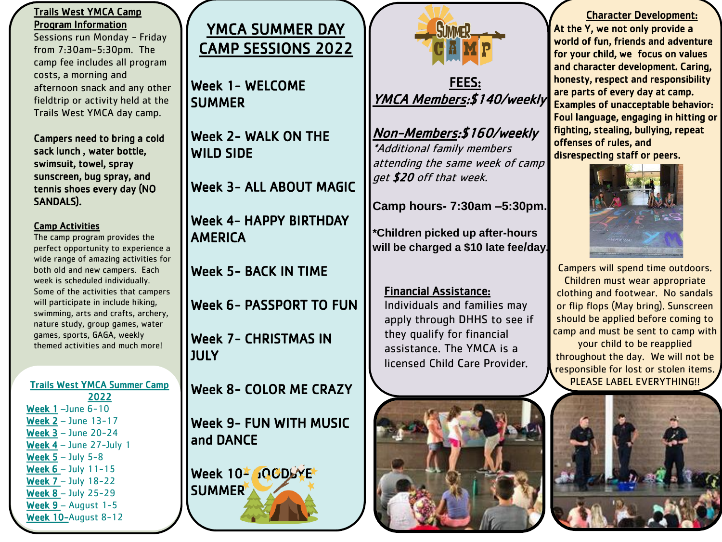#### Trails West YMCA Camp Program Information

Sessions run Monday - Friday from 7:30am-5:30pm. The camp fee includes all program costs, a morning and afternoon snack and any other fieldtrip or activity held at the Trails West YMCA day camp.

Campers need to bring a cold sack lunch , water bottle, swimsuit, towel, spray sunscreen, bug spray, and tennis shoes every day (NO SANDALS).

#### Camp Activities

The camp program provides the perfect opportunity to experience a wide range of amazing activities for both old and new campers. Each week is scheduled individually. Some of the activities that campers will participate in include hiking, swimming, arts and crafts, archery, nature study, group games, water games, sports, GAGA, weekly themed activities and much more!

Trails West YMCA Summer Camp 2022 Week 1 –June 6-10 Week 2 – June 13-17 Week 3 – June 20-24 Week 4 – June 27-July 1 Week  $5 -$  July  $5 - 8$ Week 6 – July 11-15 Week 7 – July 18-22 Week 8 – July 25-29 Week 9 – August 1-5 Week 10-August 8-12



Week 1- WELCOME **SUMMER** 

Week 2- WALK ON THE WILD SIDE

Week 3- ALL ABOUT MAGIC

Week 4- HAPPY BIRTHDAY AMERICA

Week 5- BACK IN TIME

Week 6- PASSPORT TO FUN

Week 7- CHRISTMAS IN **JULY** 

Week 8- COLOR ME CRAZY

Week 9- FUN WITH MUSIC and DANCE

Week 10- JOCDBYE SUMMER



### FEES: YMCA Members:\$140/weekly

Non-Members:\$160/weekly \*Additional family members attending the same week of camp get \$20 off that week.

**Camp hours- 7:30am –5:30pm.** 

**\*Children picked up after-hours will be charged a \$10 late fee/day.**

#### Financial Assistance:

Individuals and families may apply through DHHS to see if they qualify for financial assistance. The YMCA is a licensed Child Care Provider.



#### Character Development: At the Y, we not only provide a world of fun, friends and adventure for your child, we focus on values and character development. Caring, honesty, respect and responsibility are parts of every day at camp. Examples of unacceptable behavior: Foul language, engaging in hitting or fighting, stealing, bullying, repeat offenses of rules, and

disrespecting staff or peers.



Campers will spend time outdoors. Children must wear appropriate clothing and footwear. No sandals or flip flops (May bring). Sunscreen should be applied before coming to camp and must be sent to camp with your child to be reapplied throughout the day. We will not be responsible for lost or stolen items. PLEASE LABEL EVERYTHING!!